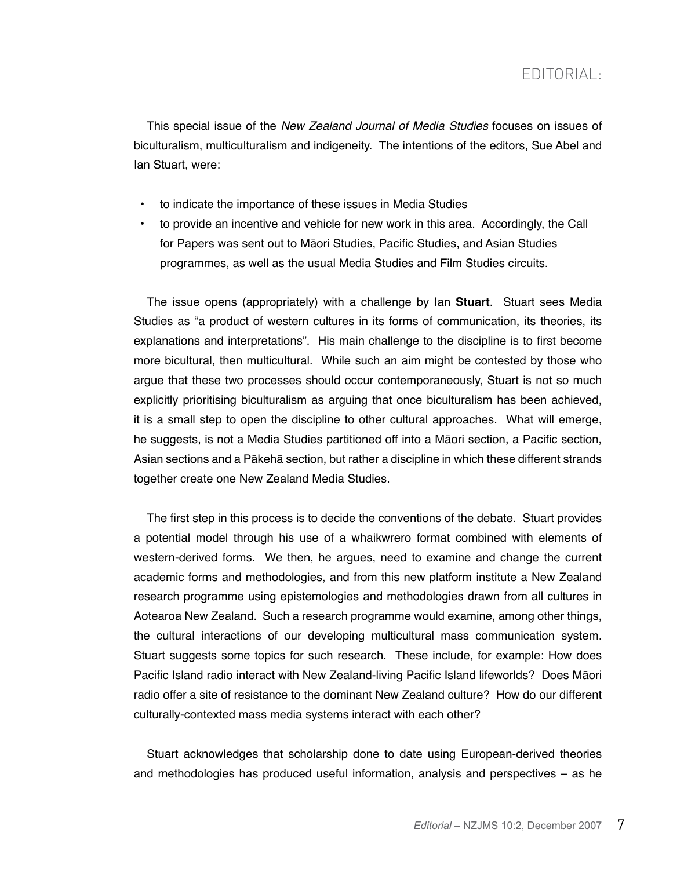This special issue of the *New Zealand Journal of Media Studies* focuses on issues of biculturalism, multiculturalism and indigeneity. The intentions of the editors, Sue Abel and Ian Stuart, were:

- to indicate the importance of these issues in Media Studies
- to provide an incentive and vehicle for new work in this area. Accordingly, the Call for Papers was sent out to Māori Studies, Pacific Studies, and Asian Studies programmes, as well as the usual Media Studies and Film Studies circuits.

The issue opens (appropriately) with a challenge by Ian **Stuart**. Stuart sees Media Studies as "a product of western cultures in its forms of communication, its theories, its explanations and interpretations". His main challenge to the discipline is to first become more bicultural, then multicultural. While such an aim might be contested by those who argue that these two processes should occur contemporaneously, Stuart is not so much explicitly prioritising biculturalism as arguing that once biculturalism has been achieved, it is a small step to open the discipline to other cultural approaches. What will emerge, he suggests, is not a Media Studies partitioned off into a Māori section, a Pacific section, Asian sections and a Pākehā section, but rather a discipline in which these different strands together create one New Zealand Media Studies.

The first step in this process is to decide the conventions of the debate. Stuart provides a potential model through his use of a whaikwrero format combined with elements of western-derived forms. We then, he argues, need to examine and change the current academic forms and methodologies, and from this new platform institute a New Zealand research programme using epistemologies and methodologies drawn from all cultures in Aotearoa New Zealand. Such a research programme would examine, among other things, the cultural interactions of our developing multicultural mass communication system. Stuart suggests some topics for such research. These include, for example: How does Pacific Island radio interact with New Zealand-living Pacific Island lifeworlds? Does Māori radio offer a site of resistance to the dominant New Zealand culture? How do our different culturally-contexted mass media systems interact with each other?

Stuart acknowledges that scholarship done to date using European-derived theories and methodologies has produced useful information, analysis and perspectives – as he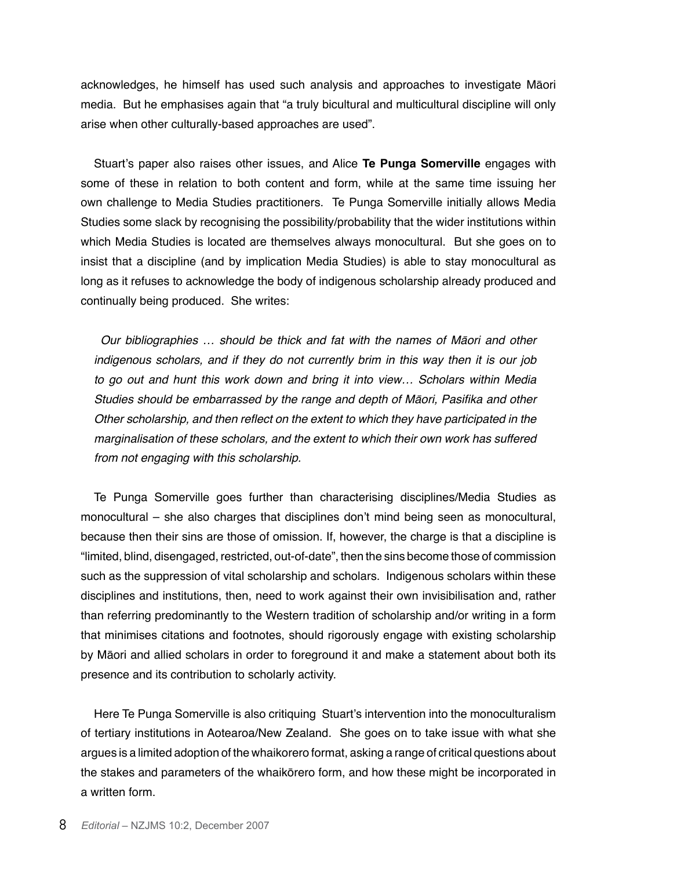acknowledges, he himself has used such analysis and approaches to investigate Māori media. But he emphasises again that "a truly bicultural and multicultural discipline will only arise when other culturally-based approaches are used".

Stuart's paper also raises other issues, and Alice **Te Punga Somerville** engages with some of these in relation to both content and form, while at the same time issuing her own challenge to Media Studies practitioners. Te Punga Somerville initially allows Media Studies some slack by recognising the possibility/probability that the wider institutions within which Media Studies is located are themselves always monocultural. But she goes on to insist that a discipline (and by implication Media Studies) is able to stay monocultural as long as it refuses to acknowledge the body of indigenous scholarship already produced and continually being produced. She writes:

Our bibliographies … should be thick and fat with the names of Māori and other indigenous scholars, and if they do not currently brim in this way then it is our job to go out and hunt this work down and bring it into view… Scholars within Media Studies should be embarrassed by the range and depth of Māori, Pasifika and other Other scholarship, and then reflect on the extent to which they have participated in the marginalisation of these scholars, and the extent to which their own work has suffered from not engaging with this scholarship.

Te Punga Somerville goes further than characterising disciplines/Media Studies as monocultural – she also charges that disciplines don't mind being seen as monocultural, because then their sins are those of omission. If, however, the charge is that a discipline is "limited, blind, disengaged, restricted, out-of-date", then the sins become those of commission such as the suppression of vital scholarship and scholars. Indigenous scholars within these disciplines and institutions, then, need to work against their own invisibilisation and, rather than referring predominantly to the Western tradition of scholarship and/or writing in a form that minimises citations and footnotes, should rigorously engage with existing scholarship by Māori and allied scholars in order to foreground it and make a statement about both its presence and its contribution to scholarly activity.

Here Te Punga Somerville is also critiquing Stuart's intervention into the monoculturalism of tertiary institutions in Aotearoa/New Zealand. She goes on to take issue with what she argues is a limited adoption of the whaikorero format, asking a range of critical questions about the stakes and parameters of the whaikōrero form, and how these might be incorporated in a written form.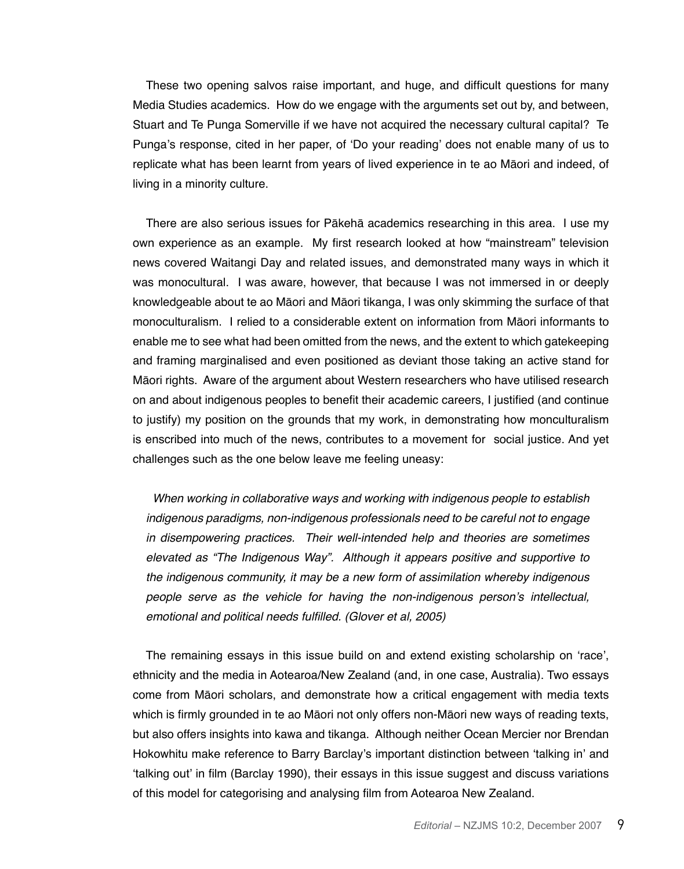These two opening salvos raise important, and huge, and difficult questions for many Media Studies academics. How do we engage with the arguments set out by, and between, Stuart and Te Punga Somerville if we have not acquired the necessary cultural capital? Te Punga's response, cited in her paper, of 'Do your reading' does not enable many of us to replicate what has been learnt from years of lived experience in te ao Māori and indeed, of living in a minority culture.

There are also serious issues for Pākehā academics researching in this area. I use my own experience as an example. My first research looked at how "mainstream" television news covered Waitangi Day and related issues, and demonstrated many ways in which it was monocultural. I was aware, however, that because I was not immersed in or deeply knowledgeable about te ao Māori and Māori tikanga, I was only skimming the surface of that monoculturalism. I relied to a considerable extent on information from Māori informants to enable me to see what had been omitted from the news, and the extent to which gatekeeping and framing marginalised and even positioned as deviant those taking an active stand for Māori rights. Aware of the argument about Western researchers who have utilised research on and about indigenous peoples to benefit their academic careers, I justified (and continue to justify) my position on the grounds that my work, in demonstrating how monculturalism is enscribed into much of the news, contributes to a movement for social justice. And yet challenges such as the one below leave me feeling uneasy:

When working in collaborative ways and working with indigenous people to establish indigenous paradigms, non-indigenous professionals need to be careful not to engage in disempowering practices. Their well-intended help and theories are sometimes elevated as "The Indigenous Way". Although it appears positive and supportive to the indigenous community, it may be a new form of assimilation whereby indigenous people serve as the vehicle for having the non-indigenous person's intellectual, emotional and political needs fulfilled. (Glover et al, 2005)

The remaining essays in this issue build on and extend existing scholarship on 'race', ethnicity and the media in Aotearoa/New Zealand (and, in one case, Australia). Two essays come from Māori scholars, and demonstrate how a critical engagement with media texts which is firmly grounded in te ao Māori not only offers non-Māori new ways of reading texts, but also offers insights into kawa and tikanga. Although neither Ocean Mercier nor Brendan Hokowhitu make reference to Barry Barclay's important distinction between 'talking in' and 'talking out' in film (Barclay 1990), their essays in this issue suggest and discuss variations of this model for categorising and analysing film from Aotearoa New Zealand.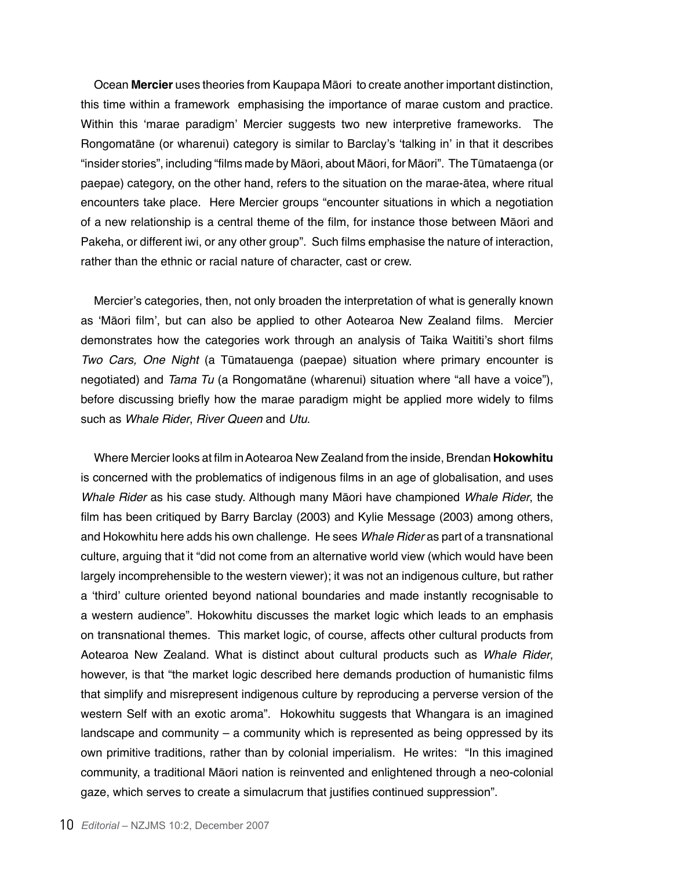Ocean **Mercier** uses theories from Kaupapa Māori to create another important distinction, this time within a framework emphasising the importance of marae custom and practice. Within this 'marae paradigm' Mercier suggests two new interpretive frameworks. The Rongomatāne (or wharenui) category is similar to Barclay's 'talking in' in that it describes "insider stories", including "films made by Māori, about Māori, for Māori". The Tūmataenga (or paepae) category, on the other hand, refers to the situation on the marae-ātea, where ritual encounters take place. Here Mercier groups "encounter situations in which a negotiation of a new relationship is a central theme of the film, for instance those between Māori and Pakeha, or different iwi, or any other group". Such films emphasise the nature of interaction, rather than the ethnic or racial nature of character, cast or crew.

Mercier's categories, then, not only broaden the interpretation of what is generally known as 'Māori film', but can also be applied to other Aotearoa New Zealand films. Mercier demonstrates how the categories work through an analysis of Taika Waititi's short films Two Cars, One Night (a Tūmatauenga (paepae) situation where primary encounter is negotiated) and *Tama Tu* (a Rongomatāne (wharenui) situation where "all have a voice"), before discussing briefly how the marae paradigm might be applied more widely to films such as Whale Rider, River Queen and *Utu*.

Where Mercier looks at film in Aotearoa New Zealand from the inside, Brendan **Hokowhitu**  is concerned with the problematics of indigenous films in an age of globalisation, and uses Whale Rider as his case study. Although many Māori have championed Whale Rider, the film has been critiqued by Barry Barclay (2003) and Kylie Message (2003) among others, and Hokowhitu here adds his own challenge. He sees Whale Rider as part of a transnational culture, arguing that it "did not come from an alternative world view (which would have been largely incomprehensible to the western viewer); it was not an indigenous culture, but rather a 'third' culture oriented beyond national boundaries and made instantly recognisable to a western audience". Hokowhitu discusses the market logic which leads to an emphasis on transnational themes. This market logic, of course, affects other cultural products from Aotearoa New Zealand. What is distinct about cultural products such as Whale Rider, however, is that "the market logic described here demands production of humanistic films that simplify and misrepresent indigenous culture by reproducing a perverse version of the western Self with an exotic aroma". Hokowhitu suggests that Whangara is an imagined landscape and community – a community which is represented as being oppressed by its own primitive traditions, rather than by colonial imperialism. He writes: "In this imagined community, a traditional Māori nation is reinvented and enlightened through a neo-colonial gaze, which serves to create a simulacrum that justifies continued suppression".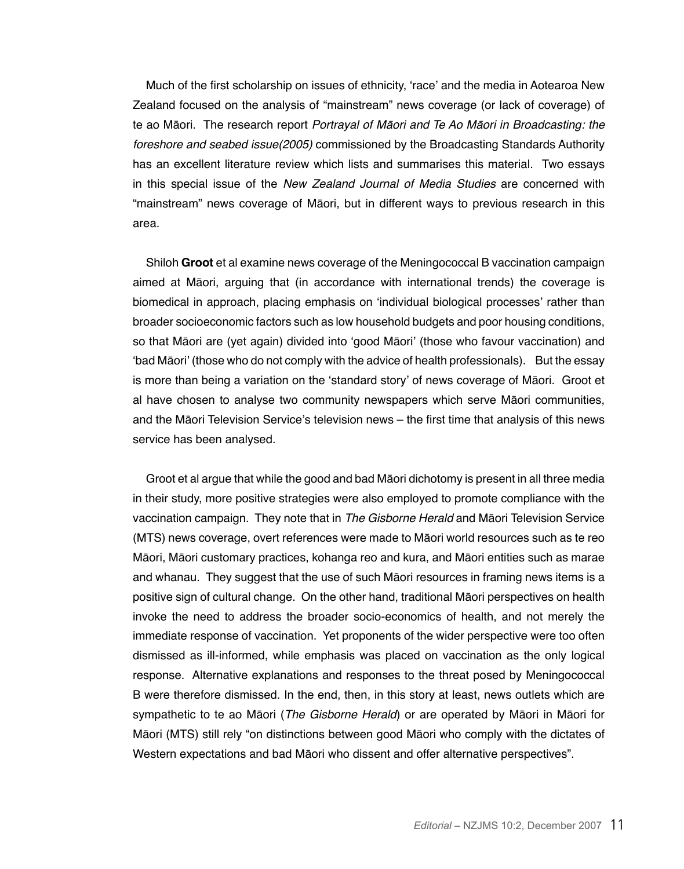Much of the first scholarship on issues of ethnicity, 'race' and the media in Aotearoa New Zealand focused on the analysis of "mainstream" news coverage (or lack of coverage) of te ao Māori. The research report Portrayal of Māori and Te Ao Māori in Broadcasting: the foreshore and seabed issue(2005) commissioned by the Broadcasting Standards Authority has an excellent literature review which lists and summarises this material. Two essays in this special issue of the *New Zealand Journal of Media Studies* are concerned with "mainstream" news coverage of Māori, but in different ways to previous research in this area.

Shiloh **Groot** et al examine news coverage of the Meningococcal B vaccination campaign aimed at Māori, arguing that (in accordance with international trends) the coverage is biomedical in approach, placing emphasis on 'individual biological processes' rather than broader socioeconomic factors such as low household budgets and poor housing conditions, so that Māori are (yet again) divided into 'good Māori' (those who favour vaccination) and 'bad Māori' (those who do not comply with the advice of health professionals). But the essay is more than being a variation on the 'standard story' of news coverage of Māori. Groot et al have chosen to analyse two community newspapers which serve Māori communities, and the Māori Television Service's television news – the first time that analysis of this news service has been analysed.

Groot et al argue that while the good and bad Māori dichotomy is present in all three media in their study, more positive strategies were also employed to promote compliance with the vaccination campaign. They note that in The Gisborne Herald and Māori Television Service (MTS) news coverage, overt references were made to Māori world resources such as te reo Māori, Māori customary practices, kohanga reo and kura, and Māori entities such as marae and whanau. They suggest that the use of such Māori resources in framing news items is a positive sign of cultural change. On the other hand, traditional Māori perspectives on health invoke the need to address the broader socio-economics of health, and not merely the immediate response of vaccination. Yet proponents of the wider perspective were too often dismissed as ill-informed, while emphasis was placed on vaccination as the only logical response. Alternative explanations and responses to the threat posed by Meningococcal B were therefore dismissed. In the end, then, in this story at least, news outlets which are sympathetic to te ao Māori (*The Gisborne Herald*) or are operated by Māori in Māori for Māori (MTS) still rely "on distinctions between good Māori who comply with the dictates of Western expectations and bad Māori who dissent and offer alternative perspectives".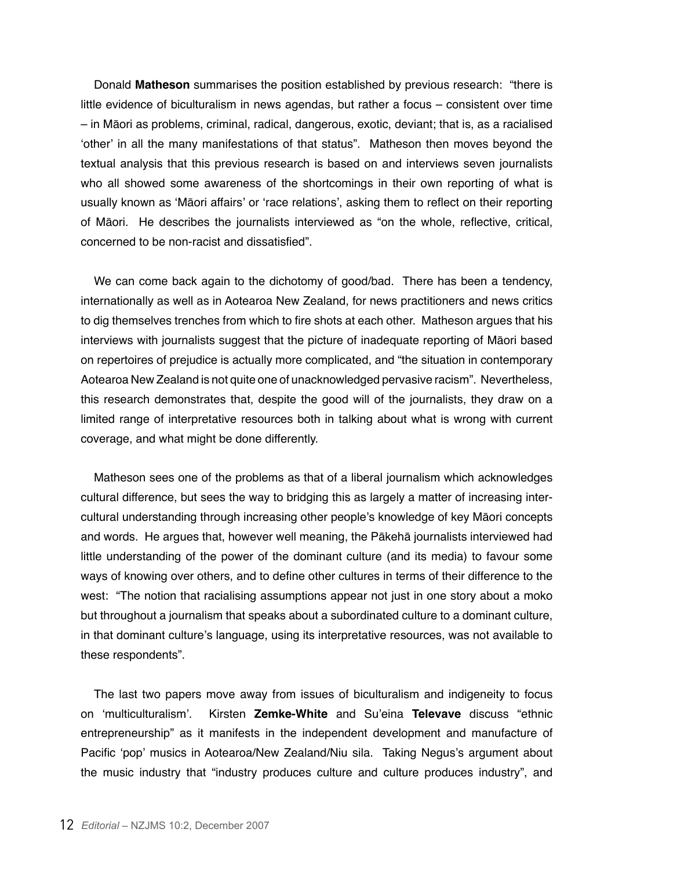Donald **Matheson** summarises the position established by previous research: "there is little evidence of biculturalism in news agendas, but rather a focus – consistent over time – in Māori as problems, criminal, radical, dangerous, exotic, deviant; that is, as a racialised 'other' in all the many manifestations of that status". Matheson then moves beyond the textual analysis that this previous research is based on and interviews seven journalists who all showed some awareness of the shortcomings in their own reporting of what is usually known as 'Māori affairs' or 'race relations', asking them to reflect on their reporting of Māori. He describes the journalists interviewed as "on the whole, reflective, critical, concerned to be non-racist and dissatisfied".

We can come back again to the dichotomy of good/bad. There has been a tendency, internationally as well as in Aotearoa New Zealand, for news practitioners and news critics to dig themselves trenches from which to fire shots at each other. Matheson argues that his interviews with journalists suggest that the picture of inadequate reporting of Māori based on repertoires of prejudice is actually more complicated, and "the situation in contemporary Aotearoa New Zealand is not quite one of unacknowledged pervasive racism". Nevertheless, this research demonstrates that, despite the good will of the journalists, they draw on a limited range of interpretative resources both in talking about what is wrong with current coverage, and what might be done differently.

Matheson sees one of the problems as that of a liberal journalism which acknowledges cultural difference, but sees the way to bridging this as largely a matter of increasing intercultural understanding through increasing other people's knowledge of key Māori concepts and words. He argues that, however well meaning, the Pākehā journalists interviewed had little understanding of the power of the dominant culture (and its media) to favour some ways of knowing over others, and to define other cultures in terms of their difference to the west: "The notion that racialising assumptions appear not just in one story about a moko but throughout a journalism that speaks about a subordinated culture to a dominant culture, in that dominant culture's language, using its interpretative resources, was not available to these respondents".

The last two papers move away from issues of biculturalism and indigeneity to focus on 'multiculturalism'. Kirsten **Zemke-White** and Su'eina **Televave** discuss "ethnic entrepreneurship" as it manifests in the independent development and manufacture of Pacific 'pop' musics in Aotearoa/New Zealand/Niu sila. Taking Negus's argument about the music industry that "industry produces culture and culture produces industry", and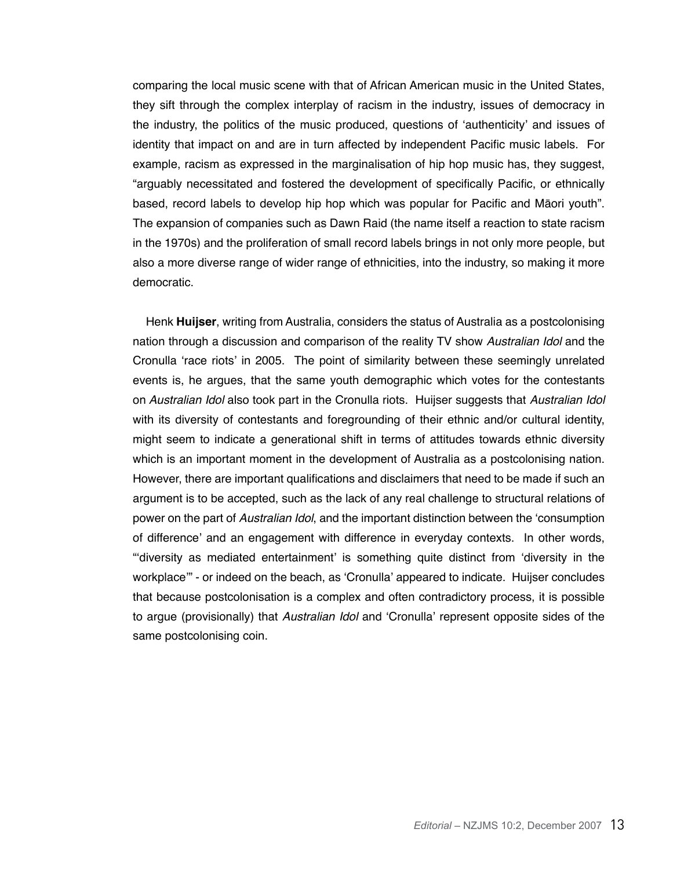comparing the local music scene with that of African American music in the United States, they sift through the complex interplay of racism in the industry, issues of democracy in the industry, the politics of the music produced, questions of 'authenticity' and issues of identity that impact on and are in turn affected by independent Pacific music labels. For example, racism as expressed in the marginalisation of hip hop music has, they suggest, "arguably necessitated and fostered the development of specifically Pacific, or ethnically based, record labels to develop hip hop which was popular for Pacific and Māori youth". The expansion of companies such as Dawn Raid (the name itself a reaction to state racism in the 1970s) and the proliferation of small record labels brings in not only more people, but also a more diverse range of wider range of ethnicities, into the industry, so making it more democratic.

Henk **Huijser**, writing from Australia, considers the status of Australia as a postcolonising nation through a discussion and comparison of the reality TV show Australian Idol and the Cronulla 'race riots' in 2005. The point of similarity between these seemingly unrelated events is, he argues, that the same youth demographic which votes for the contestants on Australian Idol also took part in the Cronulla riots. Huijser suggests that Australian Idol with its diversity of contestants and foregrounding of their ethnic and/or cultural identity, might seem to indicate a generational shift in terms of attitudes towards ethnic diversity which is an important moment in the development of Australia as a postcolonising nation. However, there are important qualifications and disclaimers that need to be made if such an argument is to be accepted, such as the lack of any real challenge to structural relations of power on the part of Australian Idol, and the important distinction between the 'consumption of difference' and an engagement with difference in everyday contexts. In other words, "'diversity as mediated entertainment' is something quite distinct from 'diversity in the workplace'" - or indeed on the beach, as 'Cronulla' appeared to indicate. Huijser concludes that because postcolonisation is a complex and often contradictory process, it is possible to argue (provisionally) that Australian Idol and 'Cronulla' represent opposite sides of the same postcolonising coin.